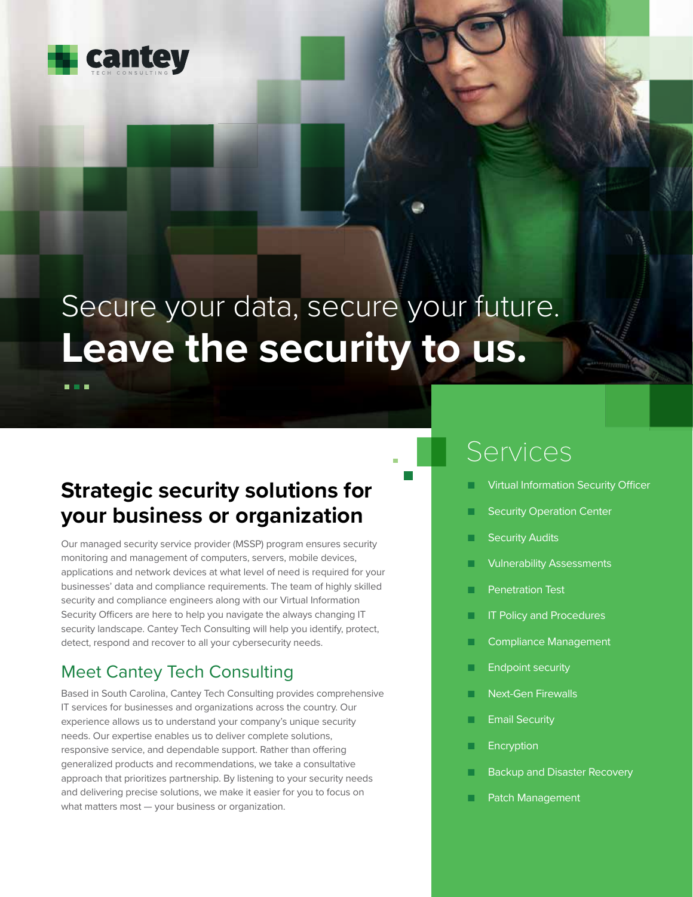

. . .

# Secure your data, secure your future. **Leave the security to us.**

### **Strategic security solutions for your business or organization**

Our managed security service provider (MSSP) program ensures security monitoring and management of computers, servers, mobile devices, applications and network devices at what level of need is required for your businesses' data and compliance requirements. The team of highly skilled security and compliance engineers along with our Virtual Information Security Officers are here to help you navigate the always changing IT security landscape. Cantey Tech Consulting will help you identify, protect, detect, respond and recover to all your cybersecurity needs.

### Meet Cantey Tech Consulting

Based in South Carolina, Cantey Tech Consulting provides comprehensive IT services for businesses and organizations across the country. Our experience allows us to understand your company's unique security needs. Our expertise enables us to deliver complete solutions, responsive service, and dependable support. Rather than offering generalized products and recommendations, we take a consultative approach that prioritizes partnership. By listening to your security needs and delivering precise solutions, we make it easier for you to focus on what matters most — your business or organization.

## Services

- **Virtual Information Security Officer**
- **Security Operation Center**
- **Security Audits**
- **Vulnerability Assessments**
- **Penetration Test**
- **IT Policy and Procedures**
- Compliance Management
- **Endpoint security**
- **Next-Gen Firewalls**
- **Email Security**
- **Encryption**
- **Backup and Disaster Recovery**
- Patch Management